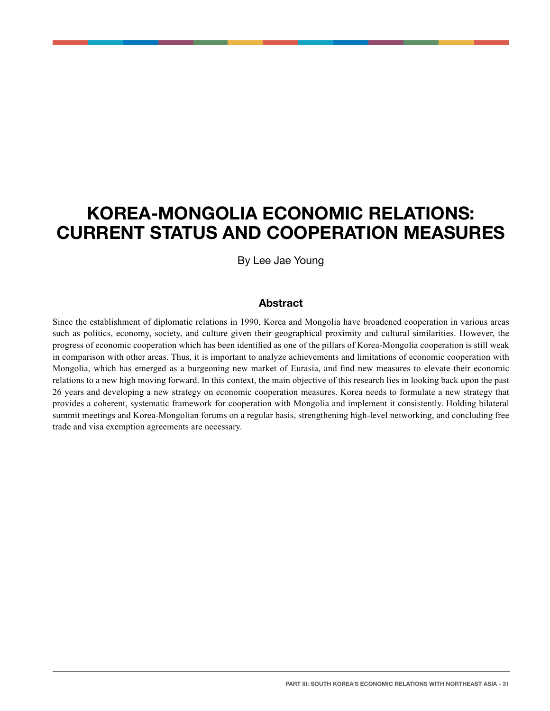# **KOREA-MONGOLIA ECONOMIC RELATIONS: CURRENT STATUS AND COOPERATION MEASURES**

By Lee Jae Young

### **Abstract**

Since the establishment of diplomatic relations in 1990, Korea and Mongolia have broadened cooperation in various areas such as politics, economy, society, and culture given their geographical proximity and cultural similarities. However, the progress of economic cooperation which has been identified as one of the pillars of Korea-Mongolia cooperation is still weak in comparison with other areas. Thus, it is important to analyze achievements and limitations of economic cooperation with Mongolia, which has emerged as a burgeoning new market of Eurasia, and find new measures to elevate their economic relations to a new high moving forward. In this context, the main objective of this research lies in looking back upon the past 26 years and developing a new strategy on economic cooperation measures. Korea needs to formulate a new strategy that provides a coherent, systematic framework for cooperation with Mongolia and implement it consistently. Holding bilateral summit meetings and Korea-Mongolian forums on a regular basis, strengthening high-level networking, and concluding free trade and visa exemption agreements are necessary.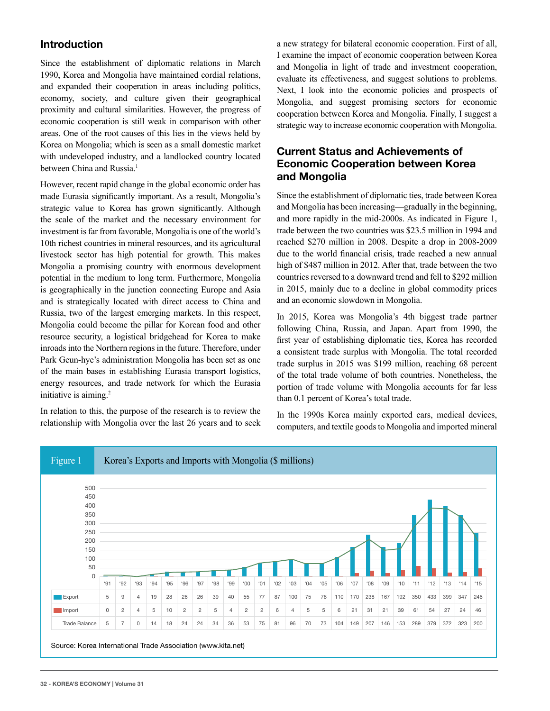## **Introduction**

Since the establishment of diplomatic relations in March 1990, Korea and Mongolia have maintained cordial relations, and expanded their cooperation in areas including politics, economy, society, and culture given their geographical proximity and cultural similarities. However, the progress of economic cooperation is still weak in comparison with other areas. One of the root causes of this lies in the views held by Korea on Mongolia; which is seen as a small domestic market with undeveloped industry, and a landlocked country located between China and Russia.<sup>1</sup>

However, recent rapid change in the global economic order has made Eurasia significantly important. As a result, Mongolia's strategic value to Korea has grown significantly. Although the scale of the market and the necessary environment for investment is far from favorable, Mongolia is one of the world's 10th richest countries in mineral resources, and its agricultural livestock sector has high potential for growth. This makes Mongolia a promising country with enormous development potential in the medium to long term. Furthermore, Mongolia is geographically in the junction connecting Europe and Asia and is strategically located with direct access to China and Russia, two of the largest emerging markets. In this respect, Mongolia could become the pillar for Korean food and other resource security, a logistical bridgehead for Korea to make inroads into the Northern regions in the future. Therefore, under Park Geun-hye's administration Mongolia has been set as one of the main bases in establishing Eurasia transport logistics, energy resources, and trade network for which the Eurasia initiative is aiming.2

In relation to this, the purpose of the research is to review the relationship with Mongolia over the last 26 years and to seek a new strategy for bilateral economic cooperation. First of all, I examine the impact of economic cooperation between Korea and Mongolia in light of trade and investment cooperation, evaluate its effectiveness, and suggest solutions to problems. Next, I look into the economic policies and prospects of Mongolia, and suggest promising sectors for economic cooperation between Korea and Mongolia. Finally, I suggest a strategic way to increase economic cooperation with Mongolia.

# **Current Status and Achievements of Economic Cooperation between Korea and Mongolia**

Since the establishment of diplomatic ties, trade between Korea and Mongolia has been increasing—gradually in the beginning, and more rapidly in the mid-2000s. As indicated in Figure 1, trade between the two countries was \$23.5 million in 1994 and reached \$270 million in 2008. Despite a drop in 2008-2009 due to the world financial crisis, trade reached a new annual high of \$487 million in 2012. After that, trade between the two countries reversed to a downward trend and fell to \$292 million in 2015, mainly due to a decline in global commodity prices and an economic slowdown in Mongolia.

In 2015, Korea was Mongolia's 4th biggest trade partner following China, Russia, and Japan. Apart from 1990, the first year of establishing diplomatic ties, Korea has recorded a consistent trade surplus with Mongolia. The total recorded trade surplus in 2015 was \$199 million, reaching 68 percent of the total trade volume of both countries. Nonetheless, the portion of trade volume with Mongolia accounts for far less than 0.1 percent of Korea's total trade.

In the 1990s Korea mainly exported cars, medical devices, computers, and textile goods to Mongolia and imported mineral

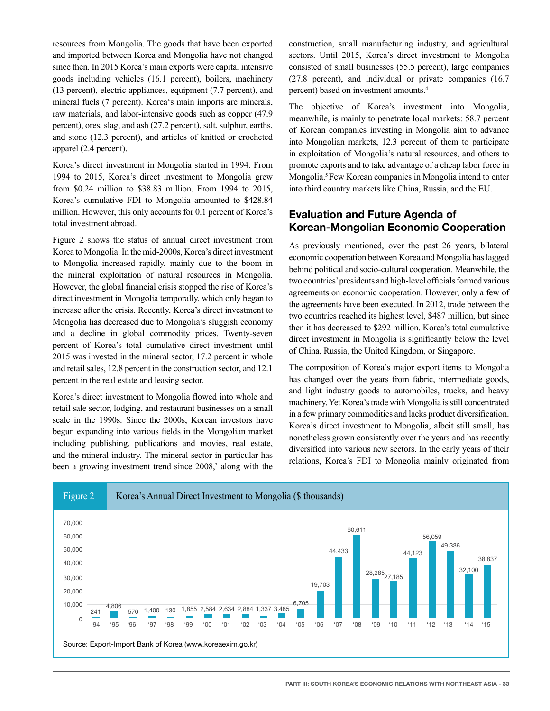resources from Mongolia. The goods that have been exported and imported between Korea and Mongolia have not changed since then. In 2015 Korea's main exports were capital intensive goods including vehicles (16.1 percent), boilers, machinery (13 percent), electric appliances, equipment (7.7 percent), and mineral fuels (7 percent). Korea's main imports are minerals, raw materials, and labor-intensive goods such as copper (47.9 percent), ores, slag, and ash (27.2 percent), salt, sulphur, earths, and stone (12.3 percent), and articles of knitted or crocheted apparel (2.4 percent).

Korea's direct investment in Mongolia started in 1994. From 1994 to 2015, Korea's direct investment to Mongolia grew from \$0.24 million to \$38.83 million. From 1994 to 2015, Korea's cumulative FDI to Mongolia amounted to \$428.84 million. However, this only accounts for 0.1 percent of Korea's total investment abroad.

Figure 2 shows the status of annual direct investment from Korea to Mongolia. In the mid-2000s, Korea's direct investment to Mongolia increased rapidly, mainly due to the boom in the mineral exploitation of natural resources in Mongolia. However, the global financial crisis stopped the rise of Korea's direct investment in Mongolia temporally, which only began to increase after the crisis. Recently, Korea's direct investment to Mongolia has decreased due to Mongolia's sluggish economy and a decline in global commodity prices. Twenty-seven percent of Korea's total cumulative direct investment until 2015 was invested in the mineral sector, 17.2 percent in whole and retail sales, 12.8 percent in the construction sector, and 12.1 percent in the real estate and leasing sector.

Korea's direct investment to Mongolia flowed into whole and retail sale sector, lodging, and restaurant businesses on a small scale in the 1990s. Since the 2000s, Korean investors have begun expanding into various fields in the Mongolian market including publishing, publications and movies, real estate, and the mineral industry. The mineral sector in particular has been a growing investment trend since 2008,<sup>3</sup> along with the construction, small manufacturing industry, and agricultural sectors. Until 2015, Korea's direct investment to Mongolia consisted of small businesses (55.5 percent), large companies (27.8 percent), and individual or private companies (16.7 percent) based on investment amounts.4

The objective of Korea's investment into Mongolia, meanwhile, is mainly to penetrate local markets: 58.7 percent of Korean companies investing in Mongolia aim to advance into Mongolian markets, 12.3 percent of them to participate in exploitation of Mongolia's natural resources, and others to promote exports and to take advantage of a cheap labor force in Mongolia.5 Few Korean companies in Mongolia intend to enter into third country markets like China, Russia, and the EU.

## **Evaluation and Future Agenda of Korean-Mongolian Economic Cooperation**

As previously mentioned, over the past 26 years, bilateral economic cooperation between Korea and Mongolia has lagged behind political and socio-cultural cooperation. Meanwhile, the two countries' presidents and high-level officials formed various agreements on economic cooperation. However, only a few of the agreements have been executed. In 2012, trade between the two countries reached its highest level, \$487 million, but since then it has decreased to \$292 million. Korea's total cumulative direct investment in Mongolia is significantly below the level of China, Russia, the United Kingdom, or Singapore.

The composition of Korea's major export items to Mongolia has changed over the years from fabric, intermediate goods, and light industry goods to automobiles, trucks, and heavy machinery. Yet Korea's trade with Mongolia is still concentrated in a few primary commodities and lacks product diversification. Korea's direct investment to Mongolia, albeit still small, has nonetheless grown consistently over the years and has recently diversified into various new sectors. In the early years of their relations, Korea's FDI to Mongolia mainly originated from

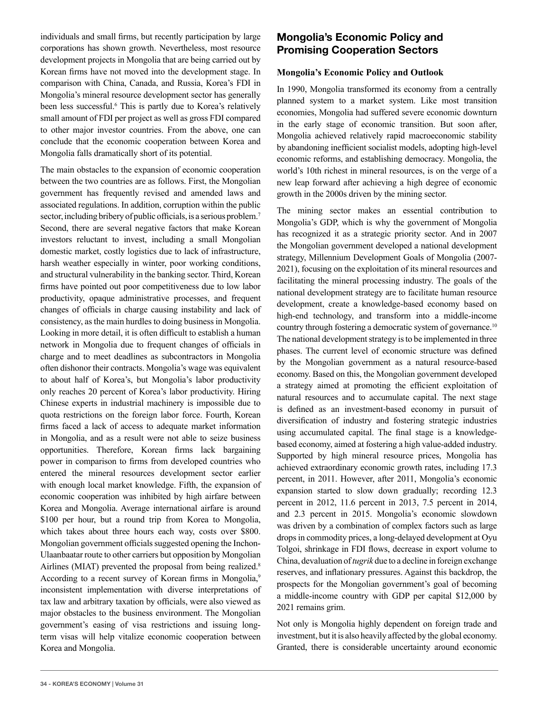individuals and small firms, but recently participation by large corporations has shown growth. Nevertheless, most resource development projects in Mongolia that are being carried out by Korean firms have not moved into the development stage. In comparison with China, Canada, and Russia, Korea's FDI in Mongolia's mineral resource development sector has generally been less successful.<sup>6</sup> This is partly due to Korea's relatively small amount of FDI per project as well as gross FDI compared to other major investor countries. From the above, one can conclude that the economic cooperation between Korea and Mongolia falls dramatically short of its potential.

The main obstacles to the expansion of economic cooperation between the two countries are as follows. First, the Mongolian government has frequently revised and amended laws and associated regulations. In addition, corruption within the public sector, including bribery of public officials, is a serious problem.<sup>7</sup> Second, there are several negative factors that make Korean investors reluctant to invest, including a small Mongolian domestic market, costly logistics due to lack of infrastructure, harsh weather especially in winter, poor working conditions, and structural vulnerability in the banking sector. Third, Korean firms have pointed out poor competitiveness due to low labor productivity, opaque administrative processes, and frequent changes of officials in charge causing instability and lack of consistency, as the main hurdles to doing business in Mongolia. Looking in more detail, it is often difficult to establish a human network in Mongolia due to frequent changes of officials in charge and to meet deadlines as subcontractors in Mongolia often dishonor their contracts. Mongolia's wage was equivalent to about half of Korea's, but Mongolia's labor productivity only reaches 20 percent of Korea's labor productivity. Hiring Chinese experts in industrial machinery is impossible due to quota restrictions on the foreign labor force. Fourth, Korean firms faced a lack of access to adequate market information in Mongolia, and as a result were not able to seize business opportunities. Therefore, Korean firms lack bargaining power in comparison to firms from developed countries who entered the mineral resources development sector earlier with enough local market knowledge. Fifth, the expansion of economic cooperation was inhibited by high airfare between Korea and Mongolia. Average international airfare is around \$100 per hour, but a round trip from Korea to Mongolia, which takes about three hours each way, costs over \$800. Mongolian government officials suggested opening the Inchon-Ulaanbaatar route to other carriers but opposition by Mongolian Airlines (MIAT) prevented the proposal from being realized.<sup>8</sup> According to a recent survey of Korean firms in Mongolia,<sup>9</sup> inconsistent implementation with diverse interpretations of tax law and arbitrary taxation by officials, were also viewed as major obstacles to the business environment. The Mongolian government's easing of visa restrictions and issuing longterm visas will help vitalize economic cooperation between Korea and Mongolia.

# **Mongolia's Economic Policy and Promising Cooperation Sectors**

#### **Mongolia's Economic Policy and Outlook**

In 1990, Mongolia transformed its economy from a centrally planned system to a market system. Like most transition economies, Mongolia had suffered severe economic downturn in the early stage of economic transition. But soon after, Mongolia achieved relatively rapid macroeconomic stability by abandoning inefficient socialist models, adopting high-level economic reforms, and establishing democracy. Mongolia, the world's 10th richest in mineral resources, is on the verge of a new leap forward after achieving a high degree of economic growth in the 2000s driven by the mining sector.

The mining sector makes an essential contribution to Mongolia's GDP, which is why the government of Mongolia has recognized it as a strategic priority sector. And in 2007 the Mongolian government developed a national development strategy, Millennium Development Goals of Mongolia (2007- 2021), focusing on the exploitation of its mineral resources and facilitating the mineral processing industry. The goals of the national development strategy are to facilitate human resource development, create a knowledge-based economy based on high-end technology, and transform into a middle-income country through fostering a democratic system of governance.<sup>10</sup> The national development strategy is to be implemented in three phases. The current level of economic structure was defined by the Mongolian government as a natural resource-based economy. Based on this, the Mongolian government developed a strategy aimed at promoting the efficient exploitation of natural resources and to accumulate capital. The next stage is defined as an investment-based economy in pursuit of diversification of industry and fostering strategic industries using accumulated capital. The final stage is a knowledgebased economy, aimed at fostering a high value-added industry. Supported by high mineral resource prices, Mongolia has achieved extraordinary economic growth rates, including 17.3 percent, in 2011. However, after 2011, Mongolia's economic expansion started to slow down gradually; recording 12.3 percent in 2012, 11.6 percent in 2013, 7.5 percent in 2014, and 2.3 percent in 2015. Mongolia's economic slowdown was driven by a combination of complex factors such as large drops in commodity prices, a long-delayed development at Oyu Tolgoi, shrinkage in FDI flows, decrease in export volume to China, devaluation of *tugrik* due to a decline in foreign exchange reserves, and inflationary pressures. Against this backdrop, the prospects for the Mongolian government's goal of becoming a middle-income country with GDP per capital \$12,000 by 2021 remains grim.

Not only is Mongolia highly dependent on foreign trade and investment, but it is also heavily affected by the global economy. Granted, there is considerable uncertainty around economic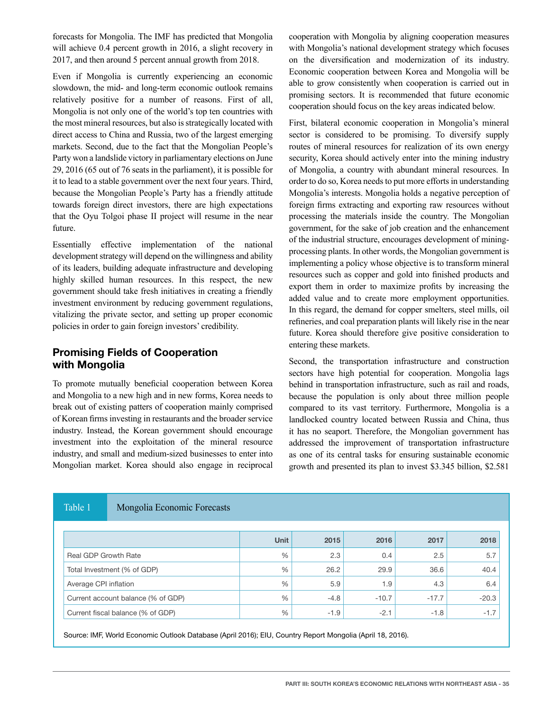forecasts for Mongolia. The IMF has predicted that Mongolia will achieve 0.4 percent growth in 2016, a slight recovery in 2017, and then around 5 percent annual growth from 2018.

Even if Mongolia is currently experiencing an economic slowdown, the mid- and long-term economic outlook remains relatively positive for a number of reasons. First of all, Mongolia is not only one of the world's top ten countries with the most mineral resources, but also is strategically located with direct access to China and Russia, two of the largest emerging markets. Second, due to the fact that the Mongolian People's Party won a landslide victory in parliamentary elections on June 29, 2016 (65 out of 76 seats in the parliament), it is possible for it to lead to a stable government over the next four years. Third, because the Mongolian People's Party has a friendly attitude towards foreign direct investors, there are high expectations that the Oyu Tolgoi phase II project will resume in the near future.

Essentially effective implementation of the national development strategy will depend on the willingness and ability of its leaders, building adequate infrastructure and developing highly skilled human resources. In this respect, the new government should take fresh initiatives in creating a friendly investment environment by reducing government regulations, vitalizing the private sector, and setting up proper economic policies in order to gain foreign investors' credibility.

# **Promising Fields of Cooperation with Mongolia**

To promote mutually beneficial cooperation between Korea and Mongolia to a new high and in new forms, Korea needs to break out of existing patters of cooperation mainly comprised of Korean firms investing in restaurants and the broader service industry. Instead, the Korean government should encourage investment into the exploitation of the mineral resource industry, and small and medium-sized businesses to enter into Mongolian market. Korea should also engage in reciprocal

cooperation with Mongolia by aligning cooperation measures with Mongolia's national development strategy which focuses on the diversification and modernization of its industry. Economic cooperation between Korea and Mongolia will be able to grow consistently when cooperation is carried out in promising sectors. It is recommended that future economic cooperation should focus on the key areas indicated below.

First, bilateral economic cooperation in Mongolia's mineral sector is considered to be promising. To diversify supply routes of mineral resources for realization of its own energy security, Korea should actively enter into the mining industry of Mongolia, a country with abundant mineral resources. In order to do so, Korea needs to put more efforts in understanding Mongolia's interests. Mongolia holds a negative perception of foreign firms extracting and exporting raw resources without processing the materials inside the country. The Mongolian government, for the sake of job creation and the enhancement of the industrial structure, encourages development of miningprocessing plants. In other words, the Mongolian government is implementing a policy whose objective is to transform mineral resources such as copper and gold into finished products and export them in order to maximize profits by increasing the added value and to create more employment opportunities. In this regard, the demand for copper smelters, steel mills, oil refineries, and coal preparation plants will likely rise in the near future. Korea should therefore give positive consideration to entering these markets.

Second, the transportation infrastructure and construction sectors have high potential for cooperation. Mongolia lags behind in transportation infrastructure, such as rail and roads, because the population is only about three million people compared to its vast territory. Furthermore, Mongolia is a landlocked country located between Russia and China, thus it has no seaport. Therefore, the Mongolian government has addressed the improvement of transportation infrastructure as one of its central tasks for ensuring sustainable economic growth and presented its plan to invest \$3.345 billion, \$2.581

#### Table 1 Mongolia Economic Forecasts

|                                    | <b>Unit</b> | 2015   | 2016    | 2017    | 2018    |
|------------------------------------|-------------|--------|---------|---------|---------|
| <b>Real GDP Growth Rate</b>        | %           | 2.3    | 0.4     | 2.5     | 5.7     |
| Total Investment (% of GDP)        | %           | 26.2   | 29.9    | 36.6    | 40.4    |
| Average CPI inflation              | %           | 5.9    | 1.9     | 4.3     | 6.4     |
| Current account balance (% of GDP) | %           | $-4.8$ | $-10.7$ | $-17.7$ | $-20.3$ |
| Current fiscal balance (% of GDP)  | %           | $-1.9$ | $-2.1$  | $-1.8$  | $-1.7$  |

Source: IMF, World Economic Outlook Database (April 2016); EIU, Country Report Mongolia (April 18, 2016).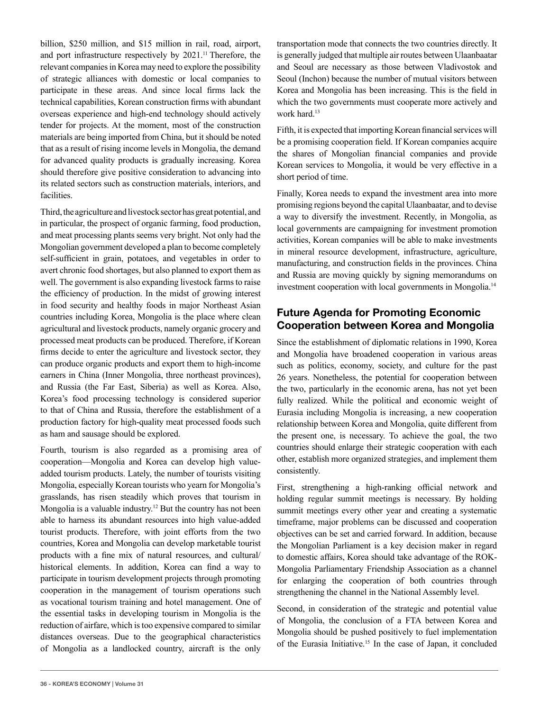billion, \$250 million, and \$15 million in rail, road, airport, and port infrastructure respectively by 2021.11 Therefore, the relevant companies in Korea may need to explore the possibility of strategic alliances with domestic or local companies to participate in these areas. And since local firms lack the technical capabilities, Korean construction firms with abundant overseas experience and high-end technology should actively tender for projects. At the moment, most of the construction materials are being imported from China, but it should be noted that as a result of rising income levels in Mongolia, the demand for advanced quality products is gradually increasing. Korea should therefore give positive consideration to advancing into its related sectors such as construction materials, interiors, and facilities.

Third, the agriculture and livestock sector has great potential, and in particular, the prospect of organic farming, food production, and meat processing plants seems very bright. Not only had the Mongolian government developed a plan to become completely self-sufficient in grain, potatoes, and vegetables in order to avert chronic food shortages, but also planned to export them as well. The government is also expanding livestock farms to raise the efficiency of production. In the midst of growing interest in food security and healthy foods in major Northeast Asian countries including Korea, Mongolia is the place where clean agricultural and livestock products, namely organic grocery and processed meat products can be produced. Therefore, if Korean firms decide to enter the agriculture and livestock sector, they can produce organic products and export them to high-income earners in China (Inner Mongolia, three northeast provinces), and Russia (the Far East, Siberia) as well as Korea. Also, Korea's food processing technology is considered superior to that of China and Russia, therefore the establishment of a production factory for high-quality meat processed foods such as ham and sausage should be explored.

Fourth, tourism is also regarded as a promising area of cooperation—Mongolia and Korea can develop high valueadded tourism products. Lately, the number of tourists visiting Mongolia, especially Korean tourists who yearn for Mongolia's grasslands, has risen steadily which proves that tourism in Mongolia is a valuable industry.<sup>12</sup> But the country has not been able to harness its abundant resources into high value-added tourist products. Therefore, with joint efforts from the two countries, Korea and Mongolia can develop marketable tourist products with a fine mix of natural resources, and cultural/ historical elements. In addition, Korea can find a way to participate in tourism development projects through promoting cooperation in the management of tourism operations such as vocational tourism training and hotel management. One of the essential tasks in developing tourism in Mongolia is the reduction of airfare, which is too expensive compared to similar distances overseas. Due to the geographical characteristics of Mongolia as a landlocked country, aircraft is the only

transportation mode that connects the two countries directly. It is generally judged that multiple air routes between Ulaanbaatar and Seoul are necessary as those between Vladivostok and Seoul (Inchon) because the number of mutual visitors between Korea and Mongolia has been increasing. This is the field in which the two governments must cooperate more actively and work hard.<sup>13</sup>

Fifth, it is expected that importing Korean financial services will be a promising cooperation field. If Korean companies acquire the shares of Mongolian financial companies and provide Korean services to Mongolia, it would be very effective in a short period of time.

Finally, Korea needs to expand the investment area into more promising regions beyond the capital Ulaanbaatar, and to devise a way to diversify the investment. Recently, in Mongolia, as local governments are campaigning for investment promotion activities, Korean companies will be able to make investments in mineral resource development, infrastructure, agriculture, manufacturing, and construction fields in the provinces. China and Russia are moving quickly by signing memorandums on investment cooperation with local governments in Mongolia.14

## **Future Agenda for Promoting Economic Cooperation between Korea and Mongolia**

Since the establishment of diplomatic relations in 1990, Korea and Mongolia have broadened cooperation in various areas such as politics, economy, society, and culture for the past 26 years. Nonetheless, the potential for cooperation between the two, particularly in the economic arena, has not yet been fully realized. While the political and economic weight of Eurasia including Mongolia is increasing, a new cooperation relationship between Korea and Mongolia, quite different from the present one, is necessary. To achieve the goal, the two countries should enlarge their strategic cooperation with each other, establish more organized strategies, and implement them consistently.

First, strengthening a high-ranking official network and holding regular summit meetings is necessary. By holding summit meetings every other year and creating a systematic timeframe, major problems can be discussed and cooperation objectives can be set and carried forward. In addition, because the Mongolian Parliament is a key decision maker in regard to domestic affairs, Korea should take advantage of the ROK-Mongolia Parliamentary Friendship Association as a channel for enlarging the cooperation of both countries through strengthening the channel in the National Assembly level.

Second, in consideration of the strategic and potential value of Mongolia, the conclusion of a FTA between Korea and Mongolia should be pushed positively to fuel implementation of the Eurasia Initiative.15 In the case of Japan, it concluded